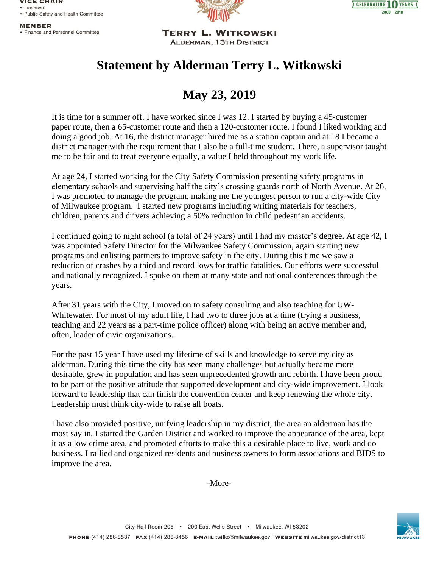**VICE CHAIR** • Licenses • Public Safety and Health Committee

**MEMBER** 

• Finance and Personnel Committee





**TERRY L. WITKOWSKI ALDERMAN, 13TH DISTRICT** 

## **Statement by Alderman Terry L. Witkowski**

## **May 23, 2019**

It is time for a summer off. I have worked since I was 12. I started by buying a 45-customer paper route, then a 65-customer route and then a 120-customer route. I found I liked working and doing a good job. At 16, the district manager hired me as a station captain and at 18 I became a district manager with the requirement that I also be a full-time student. There, a supervisor taught me to be fair and to treat everyone equally, a value I held throughout my work life.

At age 24, I started working for the City Safety Commission presenting safety programs in elementary schools and supervising half the city's crossing guards north of North Avenue. At 26, I was promoted to manage the program, making me the youngest person to run a city-wide City of Milwaukee program. I started new programs including writing materials for teachers, children, parents and drivers achieving a 50% reduction in child pedestrian accidents.

I continued going to night school (a total of 24 years) until I had my master's degree. At age 42, I was appointed Safety Director for the Milwaukee Safety Commission, again starting new programs and enlisting partners to improve safety in the city. During this time we saw a reduction of crashes by a third and record lows for traffic fatalities. Our efforts were successful and nationally recognized. I spoke on them at many state and national conferences through the years.

After 31 years with the City, I moved on to safety consulting and also teaching for UW-Whitewater. For most of my adult life, I had two to three jobs at a time (trying a business, teaching and 22 years as a part-time police officer) along with being an active member and, often, leader of civic organizations.

For the past 15 year I have used my lifetime of skills and knowledge to serve my city as alderman. During this time the city has seen many challenges but actually became more desirable, grew in population and has seen unprecedented growth and rebirth. I have been proud to be part of the positive attitude that supported development and city-wide improvement. I look forward to leadership that can finish the convention center and keep renewing the whole city. Leadership must think city-wide to raise all boats.

I have also provided positive, unifying leadership in my district, the area an alderman has the most say in. I started the Garden District and worked to improve the appearance of the area, kept it as a low crime area, and promoted efforts to make this a desirable place to live, work and do business. I rallied and organized residents and business owners to form associations and BIDS to improve the area.

-More-